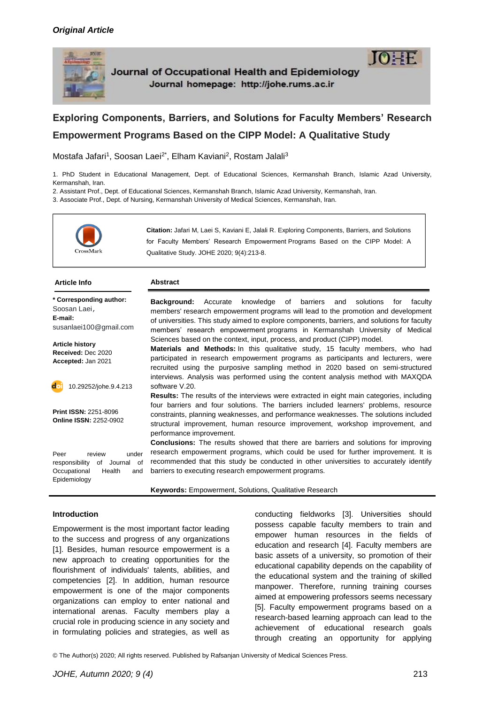

Journal of Occupational Health and Epidemiology Journal homepage: http://johe.rums.ac.ir



Mostafa Jafari<sup>1</sup>, Soosan Laei<sup>2\*</sup>, Elham Kaviani<sup>2</sup>, Rostam Jalali<sup>3</sup>

1. PhD Student in Educational Management, Dept. of Educational Sciences, Kermanshah Branch, Islamic Azad University, Kermanshah, Iran.

2. Assistant Prof., Dept. of Educational Sciences, Kermanshah Branch, Islamic Azad University, Kermanshah, Iran.

3. Associate Prof., Dept. of Nursing, Kermanshah University of Medical Sciences, Kermanshah, Iran.



**Citation:** Jafari M, Laei S, Kaviani E, Jalali R. Exploring Components, Barriers, and Solutions for Faculty Members' Research Empowerment Programs Based on the CIPP Model: A Qualitative Study. JOHE 2020; 9(4):213-8.

 $IOIF$ 

| <b>Article Info</b>                                                                                            | <b>Abstract</b>                                                                                                                                                                                                                                                                                                                                            |  |  |  |
|----------------------------------------------------------------------------------------------------------------|------------------------------------------------------------------------------------------------------------------------------------------------------------------------------------------------------------------------------------------------------------------------------------------------------------------------------------------------------------|--|--|--|
| * Corresponding author:<br>Soosan Laei,<br>E-mail:<br>susanlaei100@gmail.com                                   | knowledge of barriers and<br><b>Background:</b> Accurate<br>solutions<br>for<br>faculty<br>members' research empowerment programs will lead to the promotion and development<br>of universities. This study aimed to explore components, barriers, and solutions for faculty<br>members' research empowerment programs in Kermanshah University of Medical |  |  |  |
| <b>Article history</b><br>Received: Dec 2020<br>Accepted: Jan 2021                                             | Sciences based on the context, input, process, and product (CIPP) model.<br><b>Materials and Methods:</b> In this qualitative study, 15 faculty members, who had<br>participated in research empowerment programs as participants and lecturers, were<br>recruited using the purposive sampling method in 2020 based on semi-structured                    |  |  |  |
| 10.29252/johe.9.4.213<br>d                                                                                     | interviews. Analysis was performed using the content analysis method with MAXQDA<br>software V.20.<br><b>Results:</b> The results of the interviews were extracted in eight main categories, including                                                                                                                                                     |  |  |  |
| <b>Print ISSN: 2251-8096</b><br><b>Online ISSN: 2252-0902</b>                                                  | four barriers and four solutions. The barriers included learners' problems, resource<br>constraints, planning weaknesses, and performance weaknesses. The solutions included<br>structural improvement, human resource improvement, workshop improvement, and<br>performance improvement.                                                                  |  |  |  |
| Peer<br>review<br>under<br>responsibility<br>of<br>Journal of<br>Occupational<br>Health<br>and<br>Epidemiology | <b>Conclusions:</b> The results showed that there are barriers and solutions for improving<br>research empowerment programs, which could be used for further improvement. It is<br>recommended that this study be conducted in other universities to accurately identify<br>barriers to executing research empowerment programs.                           |  |  |  |

**Keywords:** Empowerment, Solutions, Qualitative Research

#### **Introduction**

Empowerment is the most important factor leading to the success and progress of any organizations [1]. Besides, human resource empowerment is a new approach to creating opportunities for the flourishment of individuals' talents, abilities, and competencies [2]. In addition, human resource empowerment is one of the major components organizations can employ to enter national and international arenas. Faculty members play a crucial role in producing science in any society and in formulating policies and strategies, as well as

conducting fieldworks [3]. Universities should possess capable faculty members to train and empower human resources in the fields of education and research [4]. Faculty members are basic assets of a university, so promotion of their educational capability depends on the capability of the educational system and the training of skilled manpower. Therefore, running training courses aimed at empowering professors seems necessary [5]. Faculty empowerment programs based on a research-based learning approach can lead to the achievement of educational research goals through creating an opportunity for applying

© The Author(s) 2020; All rights reserved. Published by Rafsanjan University of Medical Sciences Press.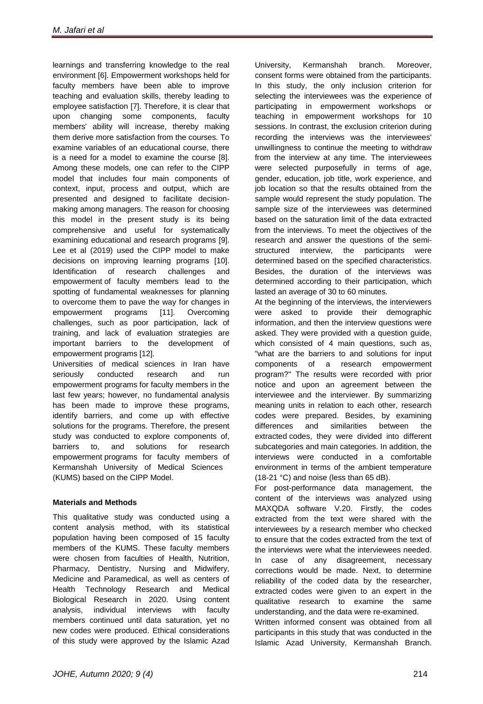learnings and transferring knowledge to the real environment [6]. Empowerment workshops held for faculty members have been able to improve teaching and evaluation skills, thereby leading to employee satisfaction [7]. Therefore, it is clear that upon changing some components, faculty members' ability will increase, thereby making them derive more satisfaction from the courses. To examine variables of an educational course, there is a need for a model to examine the course [8]. Among these models, one can refer to the CIPP model that includes four main components of context, input, process and output, which are presented and designed to facilitate decisionmaking among managers. The reason for choosing this model in the present study is its being comprehensive and useful for systematically examining educational and research programs [9]. Lee et al (2019) used the CIPP model to make decisions on improving learning programs [10]. Identification of research challenges and empowerment of faculty members lead to the spotting of fundamental weaknesses for planning to overcome them to pave the way for changes in empowerment programs [11]. Overcoming challenges, such as poor participation, lack of training, and lack of evaluation strategies are important barriers to the development of empowerment programs [12].

Universities of medical sciences in Iran have seriously conducted research and run empowerment programs for faculty members in the last few years; however, no fundamental analysis has been made to improve these programs, identify barriers, and come up with effective solutions for the programs. Therefore, the present study was conducted to explore components of, barriers to, and solutions for research empowerment programs for faculty members of Kermanshah University of Medical Sciences (KUMS) based on the CIPP Model.

# **Materials and Methods**

This qualitative study was conducted using a content analysis method, with its statistical population having been composed of 15 faculty members of the KUMS. These faculty members were chosen from faculties of Health, Nutrition, Pharmacy, Dentistry, Nursing and Midwifery, Medicine and Paramedical, as well as centers of Health Technology Research and Medical Biological Research in 2020. Using content analysis, individual interviews with faculty members continued until data saturation, yet no new codes were produced. Ethical considerations of this study were approved by the Islamic Azad

University, Kermanshah branch. Moreover, consent forms were obtained from the participants. In this study, the only inclusion criterion for selecting the interviewees was the experience of participating in empowerment workshops or teaching in empowerment workshops for 10 sessions. In contrast, the exclusion criterion during recording the interviews was the interviewees' unwillingness to continue the meeting to withdraw from the interview at any time. The interviewees were selected purposefully in terms of age, gender, education, job title, work experience, and job location so that the results obtained from the sample would represent the study population. The sample size of the interviewees was determined based on the saturation limit of the data extracted from the interviews. To meet the objectives of the research and answer the questions of the semistructured interview, the participants were determined based on the specified characteristics. Besides, the duration of the interviews was determined according to their participation, which lasted an average of 30 to 60 minutes.

At the beginning of the interviews, the interviewers were asked to provide their demographic information, and then the interview questions were asked. They were provided with a question guide, which consisted of 4 main questions, such as, "what are the barriers to and solutions for input components of a research empowerment program?" The results were recorded with prior notice and upon an agreement between the interviewee and the interviewer. By summarizing meaning units in relation to each other, research codes were prepared. Besides, by examining differences and similarities between the extracted codes, they were divided into different subcategories and main categories. In addition, the interviews were conducted in a comfortable environment in terms of the ambient temperature (18-21 °C) and noise (less than 65 dB).

For post-performance data management, the content of the interviews was analyzed using MAXQDA software V.20. Firstly, the codes extracted from the text were shared with the interviewees by a research member who checked to ensure that the codes extracted from the text of the interviews were what the interviewees needed. In case of any disagreement, necessary corrections would be made. Next, to determine reliability of the coded data by the researcher, extracted codes were given to an expert in the qualitative research to examine the same understanding, and the data were re-examined. Written informed consent was obtained from all

participants in this study that was conducted in the Islamic Azad University, Kermanshah Branch.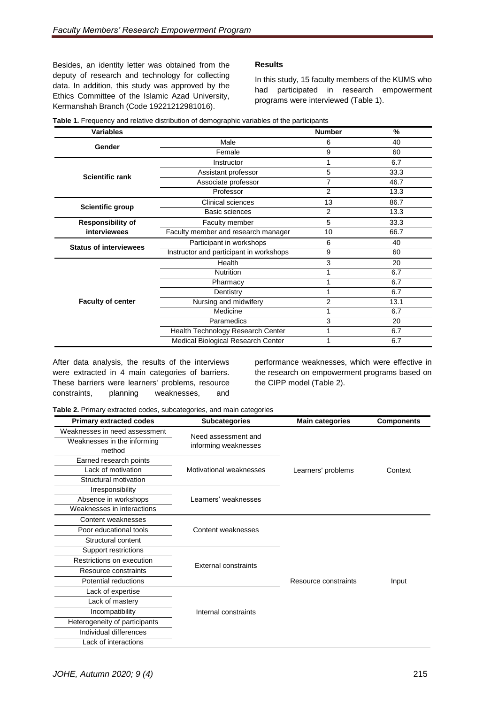Besides, an identity letter was obtained from the deputy of research and technology for collecting data. In addition, this study was approved by the Ethics Committee of the Islamic Azad University, Kermanshah Branch (Code 19221212981016).

# **Results**

In this study, 15 faculty members of the KUMS who had participated in research empowerment programs were interviewed (Table 1).

| <b>Variables</b>              |                                         | <b>Number</b>  | $\%$ |
|-------------------------------|-----------------------------------------|----------------|------|
| Gender                        | Male                                    | 6              | 40   |
|                               | Female                                  | 9              | 60   |
|                               | Instructor                              | 1              | 6.7  |
| <b>Scientific rank</b>        | Assistant professor                     | 5              | 33.3 |
|                               | Associate professor                     | 7              | 46.7 |
|                               | Professor                               | $\overline{2}$ | 13.3 |
| <b>Scientific group</b>       | Clinical sciences                       | 13             | 86.7 |
|                               | <b>Basic sciences</b>                   | $\overline{2}$ | 13.3 |
| <b>Responsibility of</b>      | Faculty member                          | 5              | 33.3 |
| interviewees                  | Faculty member and research manager     | 10             | 66.7 |
| <b>Status of interviewees</b> | Participant in workshops                | 6              | 40   |
|                               | Instructor and participant in workshops | 9              | 60   |
|                               | Health                                  | 3              | 20   |
|                               | Nutrition                               | 1              | 6.7  |
| <b>Faculty of center</b>      | Pharmacy                                | 1              | 6.7  |
|                               | Dentistry                               | 1              | 6.7  |
|                               | Nursing and midwifery                   | $\overline{2}$ | 13.1 |
|                               | Medicine                                | 1              | 6.7  |
|                               | Paramedics                              | 3              | 20   |
|                               | Health Technology Research Center       | 1              | 6.7  |
|                               | Medical Biological Research Center      | 1              | 6.7  |

**Table 1.** Frequency and relative distribution of demographic variables of the participants

After data analysis, the results of the interviews were extracted in 4 main categories of barriers. These barriers were learners' problems, resource constraints, planning weaknesses, and performance weaknesses, which were effective in the research on empowerment programs based on the CIPP model (Table 2).

**Table 2.** Primary extracted codes, subcategories, and main categories

| <b>Primary extracted codes</b>        | <b>Subcategories</b>        | <b>Main categories</b> | <b>Components</b> |
|---------------------------------------|-----------------------------|------------------------|-------------------|
| Weaknesses in need assessment         | Need assessment and         |                        |                   |
| Weaknesses in the informing<br>method | informing weaknesses        |                        |                   |
| Earned research points                |                             |                        |                   |
| Lack of motivation                    | Motivational weaknesses     | Learners' problems     | Context           |
| Structural motivation                 |                             |                        |                   |
| Irresponsibility                      |                             |                        |                   |
| Absence in workshops                  | Learners' weaknesses        |                        |                   |
| Weaknesses in interactions            |                             |                        |                   |
| Content weaknesses                    |                             |                        |                   |
| Poor educational tools                | Content weaknesses          |                        |                   |
| Structural content                    |                             |                        |                   |
| Support restrictions                  |                             |                        |                   |
| Restrictions on execution             | <b>External constraints</b> |                        | Input             |
| Resource constraints                  |                             |                        |                   |
| Potential reductions                  |                             | Resource constraints   |                   |
| Lack of expertise                     |                             |                        |                   |
| Lack of mastery                       |                             |                        |                   |
| Incompatibility                       | Internal constraints        |                        |                   |
| Heterogeneity of participants         |                             |                        |                   |
| Individual differences                |                             |                        |                   |
| Lack of interactions                  |                             |                        |                   |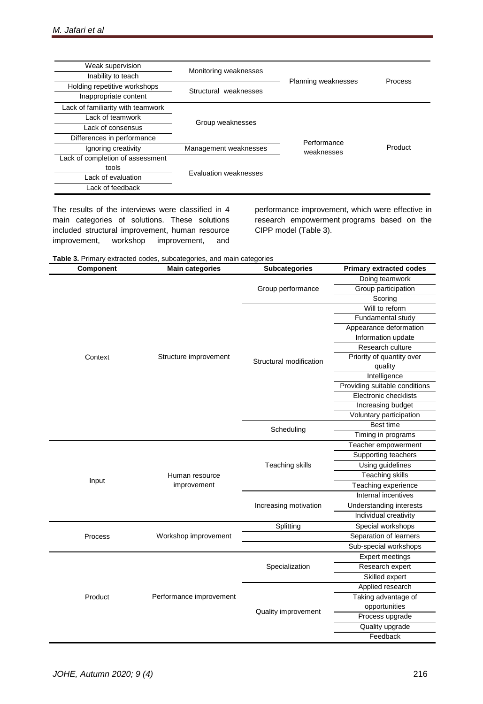| Weak supervision                  | Monitoring weaknesses |                       | Process |
|-----------------------------------|-----------------------|-----------------------|---------|
| Inability to teach                |                       | Planning weaknesses   |         |
| Holding repetitive workshops      | Structural weaknesses |                       |         |
| Inappropriate content             |                       |                       |         |
| Lack of familiarity with teamwork |                       |                       |         |
| Lack of teamwork                  | Group weaknesses      |                       |         |
| Lack of consensus                 |                       |                       |         |
| Differences in performance        |                       | Performance           |         |
| Ignoring creativity               | Management weaknesses | Product<br>weaknesses |         |
| Lack of completion of assessment  |                       |                       |         |
| tools                             | Evaluation weaknesses |                       |         |
| Lack of evaluation                |                       |                       |         |
| Lack of feedback                  |                       |                       |         |

The results of the interviews were classified in 4 main categories of solutions. These solutions included structural improvement, human resource improvement, workshop improvement, and performance improvement, which were effective in research empowerment programs based on the CIPP model (Table 3).

**Table 3.** Primary extracted codes, subcategories, and main categories

| Component | <b>Main categories</b>  | <b>Subcategories</b>    | <b>Primary extracted codes</b> |
|-----------|-------------------------|-------------------------|--------------------------------|
|           |                         |                         | Doing teamwork                 |
|           |                         | Group performance       | Group participation            |
|           |                         |                         | Scoring                        |
|           |                         | Structural modification | Will to reform                 |
|           |                         |                         | Fundamental study              |
|           | Structure improvement   |                         | Appearance deformation         |
|           |                         |                         | Information update             |
|           |                         |                         | Research culture               |
| Context   |                         |                         | Priority of quantity over      |
|           |                         |                         | quality                        |
|           |                         |                         | Intelligence                   |
|           |                         |                         | Providing suitable conditions  |
|           |                         |                         | Electronic checklists          |
|           |                         |                         | Increasing budget              |
|           |                         |                         | Voluntary participation        |
|           |                         | Scheduling              | Best time                      |
|           |                         |                         | Timing in programs             |
|           |                         | <b>Teaching skills</b>  | Teacher empowerment            |
|           |                         |                         | Supporting teachers            |
|           |                         |                         | Using guidelines               |
|           | Human resource          |                         | <b>Teaching skills</b>         |
| Input     | improvement             |                         | Teaching experience            |
|           |                         | Increasing motivation   | Internal incentives            |
|           |                         |                         | Understanding interests        |
|           |                         |                         | Individual creativity          |
|           |                         | Splitting               | Special workshops              |
| Process   | Workshop improvement    |                         | Separation of learners         |
|           |                         |                         | Sub-special workshops          |
|           |                         | Specialization          | <b>Expert meetings</b>         |
|           |                         |                         | Research expert                |
|           | Performance improvement |                         | Skilled expert                 |
|           |                         | Quality improvement     | Applied research               |
| Product   |                         |                         | Taking advantage of            |
|           |                         |                         | opportunities                  |
|           |                         |                         | Process upgrade                |
|           |                         |                         | Quality upgrade                |
|           |                         |                         | Feedback                       |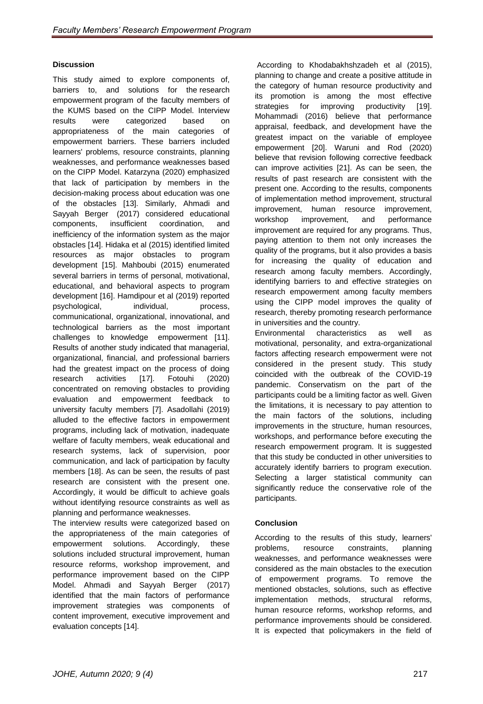# **Discussion**

This study aimed to explore components of, barriers to, and solutions for the research empowerment program of the faculty members of the KUMS based on the CIPP Model. Interview results were categorized based on appropriateness of the main categories of empowerment barriers. These barriers included learners' problems, resource constraints, planning weaknesses, and performance weaknesses based on the CIPP Model. Katarzyna (2020) emphasized that lack of participation by members in the decision-making process about education was one of the obstacles [13]. Similarly, Ahmadi and Sayyah Berger (2017) considered educational components, insufficient coordination, and inefficiency of the information system as the major obstacles [14]. Hidaka et al (2015) identified limited resources as major obstacles to program development [15]. Mahboubi (2015) enumerated several barriers in terms of personal, motivational, educational, and behavioral aspects to program development [16]. Hamdipour et al (2019) reported psychological, individual, process, communicational, organizational, innovational, and technological barriers as the most important challenges to knowledge empowerment [11]. Results of another study indicated that managerial, organizational, financial, and professional barriers had the greatest impact on the process of doing research activities [17]. Fotouhi (2020) concentrated on removing obstacles to providing evaluation and empowerment feedback to university faculty members [7]. Asadollahi (2019) alluded to the effective factors in empowerment programs, including lack of motivation, inadequate welfare of faculty members, weak educational and research systems, lack of supervision, poor communication, and lack of participation by faculty members [18]. As can be seen, the results of past research are consistent with the present one. Accordingly, it would be difficult to achieve goals without identifying resource constraints as well as planning and performance weaknesses.

The interview results were categorized based on the appropriateness of the main categories of empowerment solutions. Accordingly, these solutions included structural improvement, human resource reforms, workshop improvement, and performance improvement based on the CIPP Model. Ahmadi and Sayyah Berger (2017) identified that the main factors of performance improvement strategies was components of content improvement, executive improvement and evaluation concepts [14].

According to Khodabakhshzadeh et al (2015), planning to change and create a positive attitude in the category of human resource productivity and its promotion is among the most effective strategies for improving productivity [19]. Mohammadi (2016) believe that performance appraisal, feedback, and development have the greatest impact on the variable of employee empowerment [20]. [Waruni and](https://www.sciencedirect.com/science/article/abs/pii/S0346251X20307016#!) [Rod \(](https://www.sciencedirect.com/science/article/abs/pii/S0346251X20307016#!)2020) believe that revision following corrective feedback can improve activities [21]. As can be seen, the results of past research are consistent with the present one. According to the results, components of implementation method improvement, structural improvement, human resource improvement, workshop improvement, and performance improvement are required for any programs. Thus, paying attention to them not only increases the quality of the programs, but it also provides a basis for increasing the quality of education and research among faculty members. Accordingly, identifying barriers to and effective strategies on research empowerment among faculty members using the CIPP model improves the quality of research, thereby promoting research performance in universities and the country.

Environmental characteristics as well as motivational, personality, and extra-organizational factors affecting research empowerment were not considered in the present study. This study coincided with the outbreak of the COVID-19 pandemic. Conservatism on the part of the participants could be a limiting factor as well. Given the limitations, it is necessary to pay attention to the main factors of the solutions, including improvements in the structure, human resources, workshops, and performance before executing the research empowerment program. It is suggested that this study be conducted in other universities to accurately identify barriers to program execution. Selecting a larger statistical community can significantly reduce the conservative role of the participants.

### **Conclusion**

According to the results of this study, learners' problems, resource constraints, planning weaknesses, and performance weaknesses were considered as the main obstacles to the execution empowerment programs. To remove the mentioned obstacles, solutions, such as effective implementation methods, structural reforms, human resource reforms, workshop reforms, and performance improvements should be considered. It is expected that policymakers in the field of